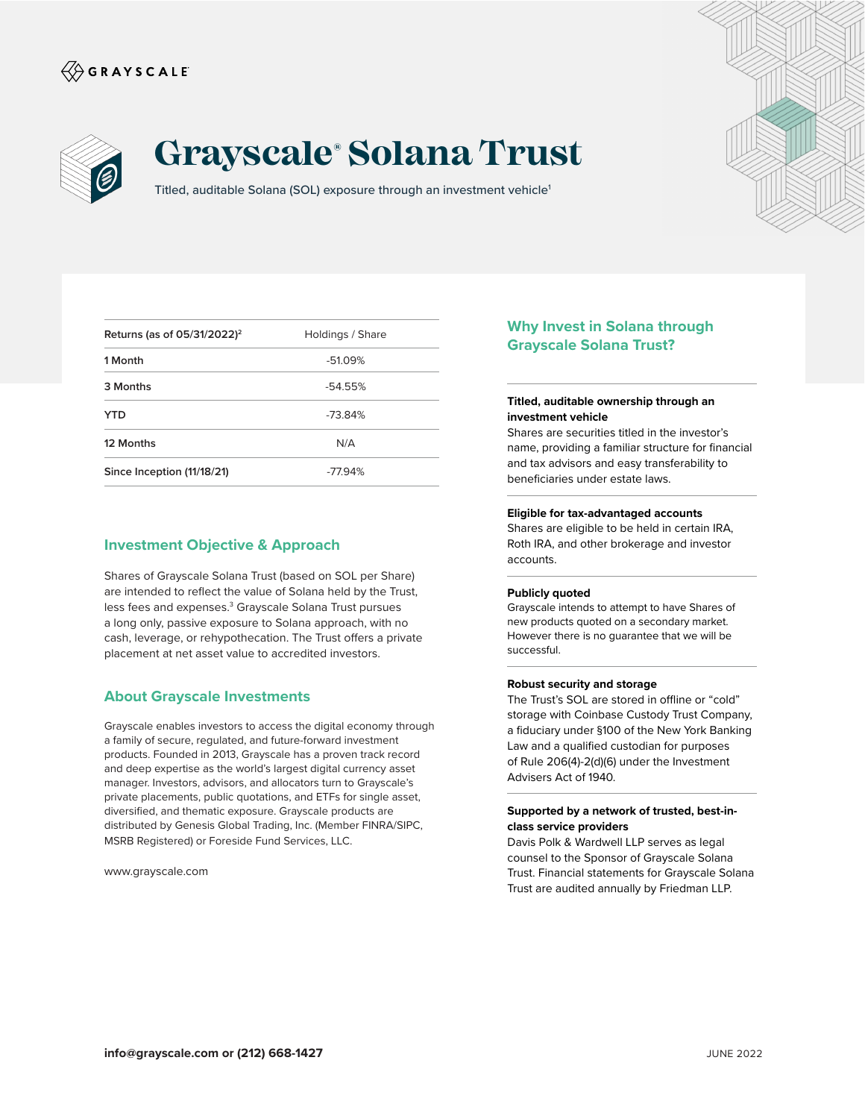# $\langle\!\!\!\langle\hat{\mathbin{\hspace{1.5pt}\circ}}$  G R A Y S C A L E



# **Grayscale® Solana Trust**

Titled, auditable Solana (SOL) exposure through an investment vehicle<sup>1</sup>

| Returns (as of $05/31/2022$ ) <sup>2</sup> | Holdings / Share |
|--------------------------------------------|------------------|
| 1 Month                                    | $-51.09%$        |
| 3 Months                                   | $-54.55%$        |
| YTD                                        | $-73.84%$        |
| 12 Months                                  | N/A              |
| Since Inception (11/18/21)                 | $-77.94%$        |

### **Investment Objective & Approach**

Shares of Grayscale Solana Trust (based on SOL per Share) are intended to reflect the value of Solana held by the Trust, less fees and expenses.<sup>3</sup> Grayscale Solana Trust pursues a long only, passive exposure to Solana approach, with no cash, leverage, or rehypothecation. The Trust offers a private placement at net asset value to accredited investors.

## **About Grayscale Investments**

Grayscale enables investors to access the digital economy through a family of secure, regulated, and future-forward investment products. Founded in 2013, Grayscale has a proven track record and deep expertise as the world's largest digital currency asset manager. Investors, advisors, and allocators turn to Grayscale's private placements, public quotations, and ETFs for single asset, diversified, and thematic exposure. Grayscale products are distributed by Genesis Global Trading, Inc. (Member FINRA/SIPC, MSRB Registered) or Foreside Fund Services, LLC.

www.grayscale.com

# **Why Invest in Solana through Grayscale Solana Trust?**

#### **Titled, auditable ownership through an investment vehicle**

Shares are securities titled in the investor's name, providing a familiar structure for financial and tax advisors and easy transferability to beneficiaries under estate laws.

#### **Eligible for tax-advantaged accounts**

Shares are eligible to be held in certain IRA, Roth IRA, and other brokerage and investor accounts.

#### **Publicly quoted**

Grayscale intends to attempt to have Shares of new products quoted on a secondary market. However there is no guarantee that we will be successful.

#### **Robust security and storage**

The Trust's SOL are stored in offline or "cold" storage with Coinbase Custody Trust Company, a fiduciary under §100 of the New York Banking Law and a qualified custodian for purposes of Rule 206(4)-2(d)(6) under the Investment Advisers Act of 1940.

#### **Supported by a network of trusted, best-inclass service providers**

Davis Polk & Wardwell LLP serves as legal counsel to the Sponsor of Grayscale Solana Trust. Financial statements for Grayscale Solana Trust are audited annually by Friedman LLP.